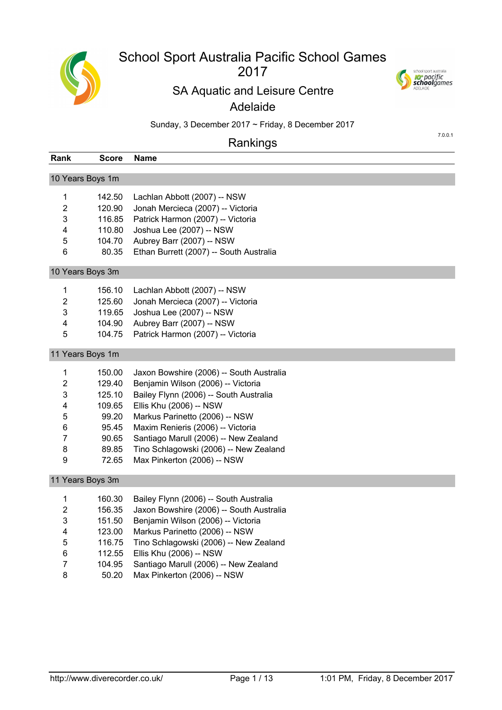

# School Sport Australia Pacific School Games

## 



7.0.0.1

## SA Aquatic and Leisure Centre

## Adelaide

Sunday, 3 December 2017 ~ Friday, 8 December 2017

## Rankings

| Rank           | Score            | Name                                     |
|----------------|------------------|------------------------------------------|
|                | 10 Years Boys 1m |                                          |
|                |                  |                                          |
| 1              | 142.50           | Lachlan Abbott (2007) -- NSW             |
| $\overline{2}$ | 120.90           | Jonah Mercieca (2007) -- Victoria        |
| 3              | 116.85           | Patrick Harmon (2007) -- Victoria        |
| 4              | 110.80           | Joshua Lee (2007) -- NSW                 |
| 5              | 104.70           | Aubrey Barr (2007) -- NSW                |
| 6              | 80.35            | Ethan Burrett (2007) -- South Australia  |
|                | 10 Years Boys 3m |                                          |
| 1              | 156.10           | Lachlan Abbott (2007) -- NSW             |
| $\overline{c}$ | 125.60           | Jonah Mercieca (2007) -- Victoria        |
| 3              | 119.65           | Joshua Lee (2007) -- NSW                 |
| 4              | 104.90           | Aubrey Barr (2007) -- NSW                |
| 5              | 104.75           | Patrick Harmon (2007) -- Victoria        |
|                | 11 Years Boys 1m |                                          |
| 1              | 150.00           | Jaxon Bowshire (2006) -- South Australia |
| $\overline{2}$ | 129.40           | Benjamin Wilson (2006) -- Victoria       |
| 3              | 125.10           | Bailey Flynn (2006) -- South Australia   |
| 4              | 109.65           | Ellis Khu (2006) -- NSW                  |
| 5              | 99.20            | Markus Parinetto (2006) -- NSW           |
| 6              | 95.45            | Maxim Renieris (2006) -- Victoria        |
| 7              | 90.65            | Santiago Marull (2006) -- New Zealand    |
| 8              | 89.85            | Tino Schlagowski (2006) -- New Zealand   |
| 9              | 72.65            | Max Pinkerton (2006) -- NSW              |
|                | 11 Years Boys 3m |                                          |
| $\mathbf{1}$   | 160.30           | Bailey Flynn (2006) -- South Australia   |
| $\overline{2}$ | 156.35           | Jaxon Bowshire (2006) -- South Australia |
| 3              | 151.50           | Benjamin Wilson (2006) -- Victoria       |
| 4              | 123.00           | Markus Parinetto (2006) -- NSW           |
| 5              | 116.75           | Tino Schlagowski (2006) -- New Zealand   |
| 6              | 112.55           | Ellis Khu (2006) -- NSW                  |
| 7              | 104.95           | Santiago Marull (2006) -- New Zealand    |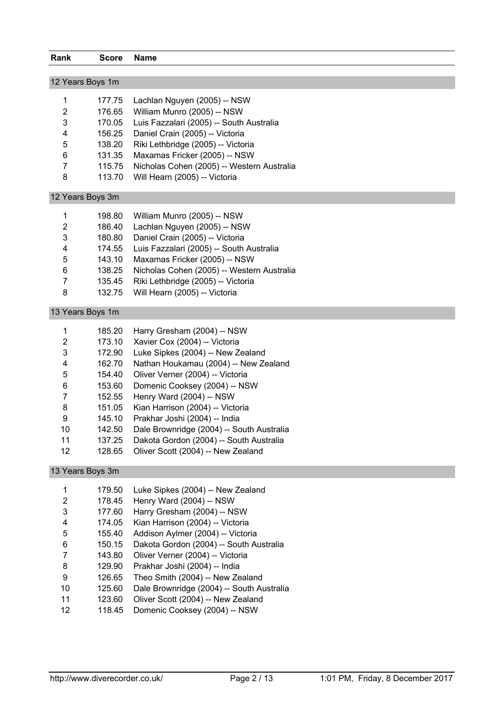| Rank                | <b>Score</b>     | <b>Name</b>                                                           |
|---------------------|------------------|-----------------------------------------------------------------------|
|                     |                  |                                                                       |
| 12 Years Boys 1m    |                  |                                                                       |
|                     |                  |                                                                       |
| 1                   | 177.75           | Lachlan Nguyen (2005) -- NSW                                          |
| 2                   | 176.65           | William Munro (2005) -- NSW                                           |
| 3                   | 170.05           | Luis Fazzalari (2005) -- South Australia                              |
| 4                   | 156.25           | Daniel Crain (2005) -- Victoria                                       |
| 5                   | 138.20           | Riki Lethbridge (2005) -- Victoria                                    |
| 6                   | 131.35           | Maxamas Fricker (2005) -- NSW                                         |
| $\overline{7}$      | 115.75           | Nicholas Cohen (2005) -- Western Australia                            |
| 8                   | 113.70           | Will Hearn (2005) -- Victoria                                         |
| 12 Years Boys 3m    |                  |                                                                       |
| 1                   | 198.80           | William Munro (2005) -- NSW                                           |
| $\overline{c}$      | 186.40           | Lachlan Nguyen (2005) -- NSW                                          |
| 3                   | 180.80           | Daniel Crain (2005) -- Victoria                                       |
| 4                   | 174.55           | Luis Fazzalari (2005) -- South Australia                              |
| 5                   | 143.10           | Maxamas Fricker (2005) -- NSW                                         |
| 6                   | 138.25           | Nicholas Cohen (2005) -- Western Australia                            |
| 7                   | 135.45           | Riki Lethbridge (2005) -- Victoria                                    |
| 8                   | 132.75           | Will Hearn (2005) -- Victoria                                         |
| 13 Years Boys 1m    |                  |                                                                       |
| 1                   | 185.20           | Harry Gresham (2004) -- NSW                                           |
| 2                   | 173.10           | Xavier Cox (2004) -- Victoria                                         |
| 3                   | 172.90           | Luke Sipkes (2004) -- New Zealand                                     |
| 4                   | 162.70           | Nathan Houkamau (2004) -- New Zealand                                 |
| 5                   | 154.40           | Oliver Verner (2004) -- Victoria                                      |
| 6                   | 153.60           | Domenic Cooksey (2004) -- NSW                                         |
| 7                   | 152.55           | Henry Ward (2004) -- NSW                                              |
| 8                   | 151.05           | Kian Harrison (2004) -- Victoria                                      |
| 9                   | 145.10           | Prakhar Joshi (2004) -- India                                         |
| 10                  | 142.50           | Dale Brownridge (2004) -- South Australia                             |
| 11                  | 137.25           | Dakota Gordon (2004) -- South Australia                               |
| 12                  | 128.65           | Oliver Scott (2004) -- New Zealand                                    |
| 13 Years Boys 3m    |                  |                                                                       |
|                     |                  |                                                                       |
| 1<br>$\overline{2}$ | 179.50           | Luke Sipkes (2004) -- New Zealand                                     |
|                     | 178.45           | Henry Ward (2004) -- NSW                                              |
| 3                   | 177.60           | Harry Gresham (2004) -- NSW                                           |
| 4                   | 174.05           | Kian Harrison (2004) -- Victoria<br>Addison Aylmer (2004) -- Victoria |
| 5<br>6              | 155.40           |                                                                       |
| 7                   | 150.15<br>143.80 | Dakota Gordon (2004) -- South Australia                               |
| 8                   | 129.90           | Oliver Verner (2004) -- Victoria<br>Prakhar Joshi (2004) -- India     |
| C                   | 10000            | $Then Omega$                                                          |

- 9 126.65 Theo Smith (2004) -- New Zealand<br>10 125.60 Dale Brownridge (2004) -- South Au Dale Brownridge (2004) -- South Australia
- 123.60 Oliver Scott (2004) -- New Zealand
- 118.45 Domenic Cooksey (2004) -- NSW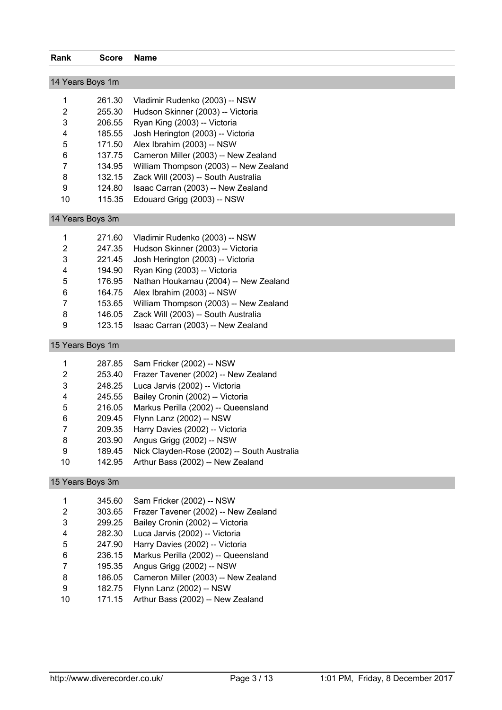| Rank             | <b>Score</b> | <b>Name</b>                                 |
|------------------|--------------|---------------------------------------------|
|                  |              |                                             |
| 14 Years Boys 1m |              |                                             |
| 1                | 261.30       | Vladimir Rudenko (2003) -- NSW              |
| $\overline{c}$   | 255.30       | Hudson Skinner (2003) -- Victoria           |
| 3                | 206.55       | Ryan King (2003) -- Victoria                |
| 4                | 185.55       | Josh Herington (2003) -- Victoria           |
| 5                | 171.50       | Alex Ibrahim (2003) -- NSW                  |
| 6                | 137.75       | Cameron Miller (2003) -- New Zealand        |
| 7                | 134.95       | William Thompson (2003) -- New Zealand      |
| 8                | 132.15       | Zack Will (2003) -- South Australia         |
| 9                | 124.80       | Isaac Carran (2003) -- New Zealand          |
| 10               | 115.35       | Edouard Grigg (2003) -- NSW                 |
| 14 Years Boys 3m |              |                                             |
| 1                | 271.60       | Vladimir Rudenko (2003) -- NSW              |
| $\overline{2}$   | 247.35       | Hudson Skinner (2003) -- Victoria           |
| 3                | 221.45       | Josh Herington (2003) -- Victoria           |
| 4                | 194.90       | Ryan King (2003) -- Victoria                |
| 5                | 176.95       | Nathan Houkamau (2004) -- New Zealand       |
| 6                | 164.75       | Alex Ibrahim (2003) -- NSW                  |
| 7                | 153.65       | William Thompson (2003) -- New Zealand      |
| 8                | 146.05       | Zack Will (2003) -- South Australia         |
| 9                | 123.15       | Isaac Carran (2003) -- New Zealand          |
| 15 Years Boys 1m |              |                                             |
| 1                | 287.85       | Sam Fricker (2002) -- NSW                   |
| $\overline{2}$   | 253.40       | Frazer Tavener (2002) -- New Zealand        |
| 3                | 248.25       | Luca Jarvis (2002) -- Victoria              |
| 4                | 245.55       | Bailey Cronin (2002) -- Victoria            |
| 5                | 216.05       | Markus Perilla (2002) -- Queensland         |
| 6                | 209.45       | Flynn Lanz (2002) -- NSW                    |
| 7                | 209.35       | Harry Davies (2002) -- Victoria             |
| 8                | 203.90       | Angus Grigg (2002) -- NSW                   |
| 9                | 189.45       | Nick Clayden-Rose (2002) -- South Australia |
| 10               | 142.95       | Arthur Bass (2002) -- New Zealand           |
| 15 Years Boys 3m |              |                                             |
| 1                | 345.60       | Sam Fricker (2002) -- NSW                   |
| $\overline{2}$   | 303.65       | Frazer Tavener (2002) -- New Zealand        |
| 3                | 299.25       | Bailey Cronin (2002) -- Victoria            |
| 4                | 282.30       | Luca Jarvis (2002) -- Victoria              |
| 5                | 247.90       | Harry Davies (2002) -- Victoria             |
| 6                | 236.15       | Markus Perilla (2002) -- Queensland         |
| 7                | 195.35       | Angus Grigg (2002) -- NSW                   |
| 8                | 186.05       | Cameron Miller (2003) -- New Zealand        |
| $\boldsymbol{9}$ | 182.75       | Flynn Lanz (2002) -- NSW                    |

171.15 Arthur Bass (2002) -- New Zealand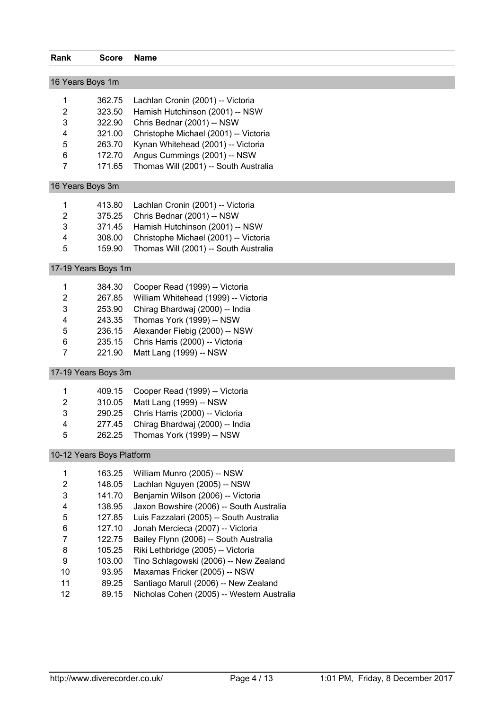| Rank                  | <b>Score</b>              | <b>Name</b>                           |
|-----------------------|---------------------------|---------------------------------------|
|                       |                           |                                       |
|                       | 16 Years Boys 1m          |                                       |
| 1                     | 362.75                    | Lachlan Cronin (2001) -- Victoria     |
| 2                     | 323.50                    | Hamish Hutchinson (2001) -- NSW       |
| 3                     | 322.90                    | Chris Bednar (2001) -- NSW            |
| 4                     | 321.00                    | Christophe Michael (2001) -- Victoria |
| 5                     | 263.70                    | Kynan Whitehead (2001) -- Victoria    |
| 6                     | 172.70                    | Angus Cummings (2001) -- NSW          |
| $\overline{7}$        | 171.65                    | Thomas Will (2001) -- South Australia |
|                       | 16 Years Boys 3m          |                                       |
| 1                     | 413.80                    | Lachlan Cronin (2001) -- Victoria     |
| 2                     | 375.25                    | Chris Bednar (2001) -- NSW            |
| 3                     | 371.45                    | Hamish Hutchinson (2001) -- NSW       |
| 4                     | 308.00                    | Christophe Michael (2001) -- Victoria |
| 5                     | 159.90                    | Thomas Will (2001) -- South Australia |
|                       | 17-19 Years Boys 1m       |                                       |
|                       | 384.30                    | Cooper Read (1999) -- Victoria        |
| 1<br>$\boldsymbol{2}$ | 267.85                    | William Whitehead (1999) -- Victoria  |
| 3                     | 253.90                    | Chirag Bhardwaj (2000) -- India       |
| 4                     | 243.35                    | Thomas York (1999) -- NSW             |
| 5                     | 236.15                    | Alexander Fiebig (2000) -- NSW        |
| 6                     | 235.15                    | Chris Harris (2000) -- Victoria       |
| $\overline{7}$        | 221.90                    | Matt Lang (1999) -- NSW               |
|                       |                           |                                       |
|                       | 17-19 Years Boys 3m       |                                       |
| 1                     | 409.15                    | Cooper Read (1999) -- Victoria        |
| 2                     | 310.05                    | Matt Lang (1999) -- NSW               |
| 3                     | 290.25                    | Chris Harris (2000) -- Victoria       |
| 4                     | 277.45                    | Chirag Bhardwaj (2000) -- India       |
| 5                     | 262.25                    | Thomas York (1999) -- NSW             |
|                       | 10-12 Years Boys Platform |                                       |
| 1                     | 163.25                    | William Munro (2005) -- NSW           |
| $\boldsymbol{2}$      | 148.05                    | Lachlan Nguyen (2005) -- NSW          |
| 3                     | 141.70                    | Benjamin Wilson (2006) -- Victoria    |
|                       | 138.05                    | Javon Rowshire (2006) South Australia |

- 138.95 Jaxon Bowshire (2006) -- South Australia 127.85 Luis Fazzalari (2005) -- South Australia
- 
- 127.10 Jonah Mercieca (2007) -- Victoria
- 122.75 Bailey Flynn (2006) -- South Australia 105.25 Riki Lethbridge (2005) -- Victoria
- 103.00 Tino Schlagowski (2006) -- New Zealand
- 93.95 Maxamas Fricker (2005) -- NSW
- 89.25 Santiago Marull (2006) -- New Zealand
- 89.15 Nicholas Cohen (2005) -- Western Australia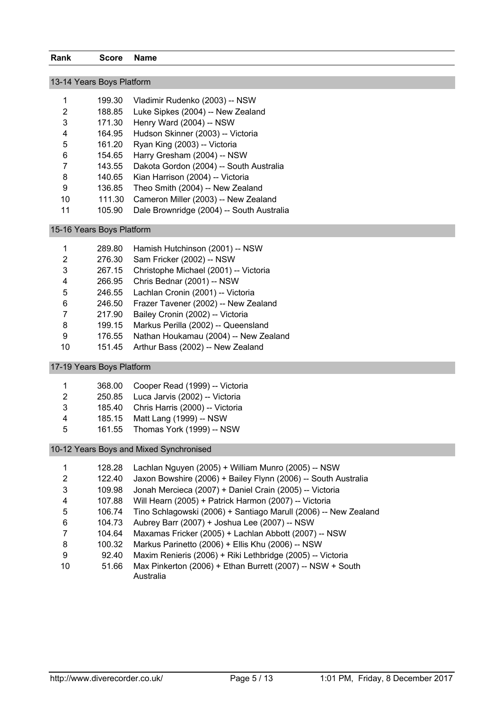| 13-14 Years Boys Platform |        |                                           |  |  |
|---------------------------|--------|-------------------------------------------|--|--|
| 1                         | 199.30 | Vladimir Rudenko (2003) -- NSW            |  |  |
| 2                         | 188.85 | Luke Sipkes (2004) -- New Zealand         |  |  |
| 3                         | 171.30 | Henry Ward (2004) -- NSW                  |  |  |
| 4                         | 164.95 | Hudson Skinner (2003) -- Victoria         |  |  |
| 5                         | 161.20 | Ryan King (2003) -- Victoria              |  |  |
| 6                         | 154.65 | Harry Gresham (2004) -- NSW               |  |  |
| 7                         | 143.55 | Dakota Gordon (2004) -- South Australia   |  |  |
| 8                         | 140.65 | Kian Harrison (2004) -- Victoria          |  |  |
| 9                         | 136.85 | Theo Smith (2004) -- New Zealand          |  |  |
| 10                        | 111.30 | Cameron Miller (2003) -- New Zealand      |  |  |
| 11                        | 105.90 | Dale Brownridge (2004) -- South Australia |  |  |

15-16 Years Boys Platform

|    | 289.80 | Hamish Hutchinson (2001) -- NSW       |
|----|--------|---------------------------------------|
| 2  | 276.30 | Sam Fricker (2002) -- NSW             |
| 3  | 267.15 | Christophe Michael (2001) -- Victoria |
| 4  | 266.95 | Chris Bednar (2001) -- NSW            |
| 5  | 246.55 | Lachlan Cronin (2001) -- Victoria     |
| 6  | 246.50 | Frazer Tavener (2002) -- New Zealand  |
|    | 217.90 | Bailey Cronin (2002) -- Victoria      |
| 8  | 199.15 | Markus Perilla (2002) -- Queensland   |
| 9  | 176.55 | Nathan Houkamau (2004) -- New Zealand |
| 10 | 151.45 | Arthur Bass (2002) -- New Zealand     |

17-19 Years Boys Platform

| -1 | 368.00 Cooper Read (1999) -- Victoria  |
|----|----------------------------------------|
| 2  | 250.85 Luca Jarvis (2002) -- Victoria  |
| 3  | 185.40 Chris Harris (2000) -- Victoria |
| 4  | 185.15 Matt Lang (1999) -- NSW         |
| .5 | 161.55 Thomas York (1999) -- NSW       |

10-12 Years Boys and Mixed Synchronised

|                | 128.28 | Lachlan Nguyen (2005) + William Munro (2005) -- NSW                     |
|----------------|--------|-------------------------------------------------------------------------|
| 2              | 122.40 | Jaxon Bowshire (2006) + Bailey Flynn (2006) -- South Australia          |
| 3              | 109.98 | Jonah Mercieca (2007) + Daniel Crain (2005) -- Victoria                 |
| $\overline{4}$ | 107.88 | Will Hearn (2005) + Patrick Harmon (2007) -- Victoria                   |
| -5             | 106.74 | Tino Schlagowski (2006) + Santiago Marull (2006) -- New Zealand         |
| 6              | 104.73 | Aubrey Barr (2007) + Joshua Lee (2007) -- NSW                           |
|                | 104.64 | Maxamas Fricker (2005) + Lachlan Abbott (2007) -- NSW                   |
| 8              | 100.32 | Markus Parinetto (2006) + Ellis Khu (2006) -- NSW                       |
| 9              | 92.40  | Maxim Renieris (2006) + Riki Lethbridge (2005) -- Victoria              |
| 10             | 51.66  | Max Pinkerton (2006) + Ethan Burrett (2007) -- NSW + South<br>Australia |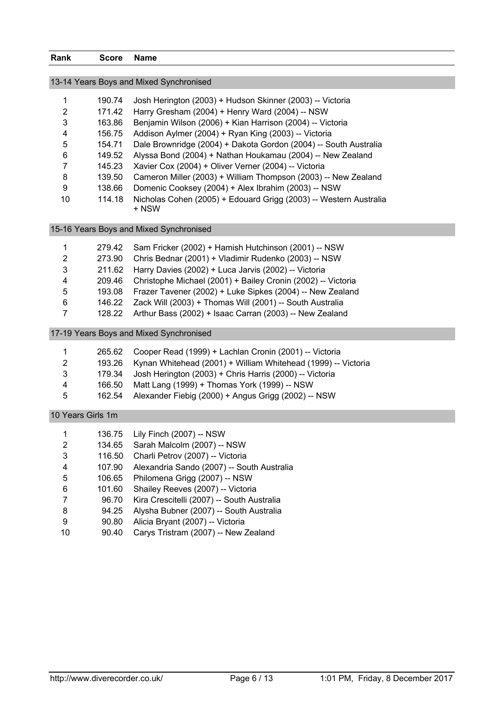| Rank                    | <b>Score</b>      | <b>Name</b>                                                                |
|-------------------------|-------------------|----------------------------------------------------------------------------|
|                         |                   | 13-14 Years Boys and Mixed Synchronised                                    |
|                         |                   |                                                                            |
| 1                       | 190.74            | Josh Herington (2003) + Hudson Skinner (2003) -- Victoria                  |
| $\overline{c}$          | 171.42            | Harry Gresham (2004) + Henry Ward (2004) -- NSW                            |
| 3                       | 163.86            | Benjamin Wilson (2006) + Kian Harrison (2004) -- Victoria                  |
| 4                       | 156.75            | Addison Aylmer (2004) + Ryan King (2003) -- Victoria                       |
| 5                       | 154.71            | Dale Brownridge (2004) + Dakota Gordon (2004) -- South Australia           |
| 6                       | 149.52            | Alyssa Bond (2004) + Nathan Houkamau (2004) -- New Zealand                 |
| 7                       | 145.23            | Xavier Cox (2004) + Oliver Verner (2004) -- Victoria                       |
| 8                       | 139.50            | Cameron Miller (2003) + William Thompson (2003) -- New Zealand             |
| 9                       | 138.66            | Domenic Cooksey (2004) + Alex Ibrahim (2003) -- NSW                        |
| 10                      | 114.18            | Nicholas Cohen (2005) + Edouard Grigg (2003) -- Western Australia<br>+ NSW |
|                         |                   | 15-16 Years Boys and Mixed Synchronised                                    |
| 1                       | 279.42            | Sam Fricker (2002) + Hamish Hutchinson (2001) -- NSW                       |
| $\overline{2}$          | 273.90            | Chris Bednar (2001) + Vladimir Rudenko (2003) -- NSW                       |
| 3                       | 211.62            | Harry Davies (2002) + Luca Jarvis (2002) -- Victoria                       |
| $\overline{\mathbf{4}}$ | 209.46            | Christophe Michael (2001) + Bailey Cronin (2002) -- Victoria               |
| 5                       | 193.08            | Frazer Tavener (2002) + Luke Sipkes (2004) -- New Zealand                  |
| 6                       | 146.22            | Zack Will (2003) + Thomas Will (2001) -- South Australia                   |
| $\overline{7}$          | 128.22            | Arthur Bass (2002) + Isaac Carran (2003) -- New Zealand                    |
|                         |                   | 17-19 Years Boys and Mixed Synchronised                                    |
| 1                       | 265.62            | Cooper Read (1999) + Lachlan Cronin (2001) -- Victoria                     |
| $\overline{c}$          | 193.26            | Kynan Whitehead (2001) + William Whitehead (1999) -- Victoria              |
| 3                       | 179.34            | Josh Herington (2003) + Chris Harris (2000) -- Victoria                    |
| 4                       | 166.50            | Matt Lang (1999) + Thomas York (1999) -- NSW                               |
| 5                       | 162.54            | Alexander Fiebig (2000) + Angus Grigg (2002) -- NSW                        |
|                         | 10 Years Girls 1m |                                                                            |
| 1                       | 136.75            | Lily Finch (2007) -- NSW                                                   |
| 2                       | 134.65            | Sarah Malcolm (2007) -- NSW                                                |
| 3                       | 116.50            | Charli Petrov (2007) -- Victoria                                           |
| 4                       | 107.90            | Alexandria Sando (2007) -- South Australia                                 |
| 5                       | 106.65            | Philomena Grigg (2007) -- NSW                                              |
| 6                       | 101.60            | Shailey Reeves (2007) -- Victoria                                          |
| 7                       | 96.70             | Kira Crescitelli (2007) -- South Australia                                 |

- 8 94.25 Alysha Bubner (2007) -- South Australia<br>9 90.80 Alicia Bryant (2007) -- Victoria
- 90.80 Alicia Bryant (2007) -- Victoria
- 90.40 Carys Tristram (2007) -- New Zealand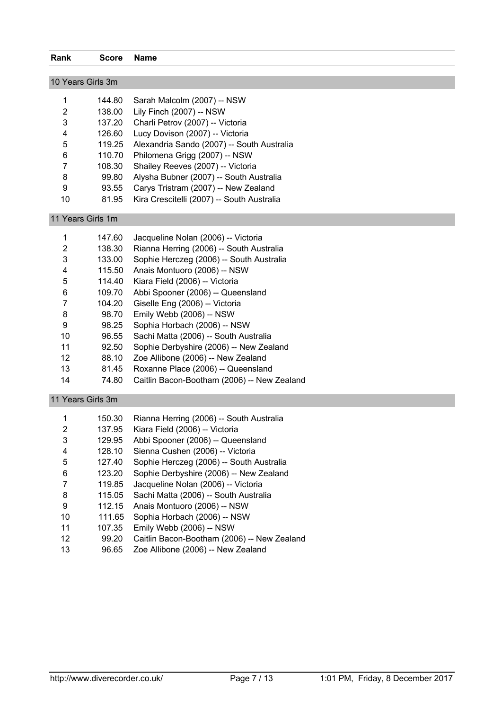| Rank              | <b>Score</b> | <b>Name</b>                                       |
|-------------------|--------------|---------------------------------------------------|
|                   |              |                                                   |
| 10 Years Girls 3m |              |                                                   |
|                   | 144.80       | Sarah Malcolm (2007) -- NSW                       |
| 2                 | 138.00       | Lily Finch (2007) -- NSW                          |
| 3                 | 137.20       | Charli Petrov (2007) -- Victoria                  |
| 4                 | 126.60       | Lucy Dovison (2007) -- Victoria                   |
| 5                 |              | 119.25 Alexandria Sando (2007) -- South Australia |
| 6                 | 110.70       | Philomena Grigg (2007) -- NSW                     |
| 7                 | 108.30       | Shailey Reeves (2007) -- Victoria                 |
| 8                 | 99.80        | Alysha Bubner (2007) -- South Australia           |
| 9                 | 93.55        | Carys Tristram (2007) -- New Zealand              |
| 10                | 81.95        | Kira Crescitelli (2007) -- South Australia        |
| 11 Years Girls 1m |              |                                                   |

| 1  | 147.60 | Jacqueline Nolan (2006) -- Victoria         |
|----|--------|---------------------------------------------|
| 2  | 138.30 | Rianna Herring (2006) -- South Australia    |
| 3  | 133.00 | Sophie Herczeg (2006) -- South Australia    |
| 4  | 115.50 | Anais Montuoro (2006) -- NSW                |
| 5  | 114.40 | Kiara Field (2006) -- Victoria              |
| 6  | 109.70 | Abbi Spooner (2006) -- Queensland           |
| 7  | 104.20 | Giselle Eng (2006) -- Victoria              |
| 8  | 98.70  | Emily Webb (2006) -- NSW                    |
| 9  | 98.25  | Sophia Horbach (2006) -- NSW                |
| 10 | 96.55  | Sachi Matta (2006) -- South Australia       |
| 11 | 92.50  | Sophie Derbyshire (2006) -- New Zealand     |
| 12 | 88.10  | Zoe Allibone (2006) -- New Zealand          |
| 13 | 81.45  | Roxanne Place (2006) -- Queensland          |
| 14 | 74.80  | Caitlin Bacon-Bootham (2006) -- New Zealand |

## 11 Years Girls 3m

| 1  | 150.30 | Rianna Herring (2006) -- South Australia    |
|----|--------|---------------------------------------------|
| 2  | 137.95 | Kiara Field (2006) -- Victoria              |
| 3  | 129.95 | Abbi Spooner (2006) -- Queensland           |
| 4  | 128.10 | Sienna Cushen (2006) -- Victoria            |
| 5  | 127.40 | Sophie Herczeg (2006) -- South Australia    |
| 6  | 123.20 | Sophie Derbyshire (2006) -- New Zealand     |
| 7  | 119.85 | Jacqueline Nolan (2006) -- Victoria         |
| 8  | 115.05 | Sachi Matta (2006) -- South Australia       |
| 9  | 112.15 | Anais Montuoro (2006) -- NSW                |
| 10 | 111.65 | Sophia Horbach (2006) -- NSW                |
| 11 | 107.35 | Emily Webb (2006) -- NSW                    |
| 12 | 99.20  | Caitlin Bacon-Bootham (2006) -- New Zealand |
| 13 | 96.65  | Zoe Allibone (2006) -- New Zealand          |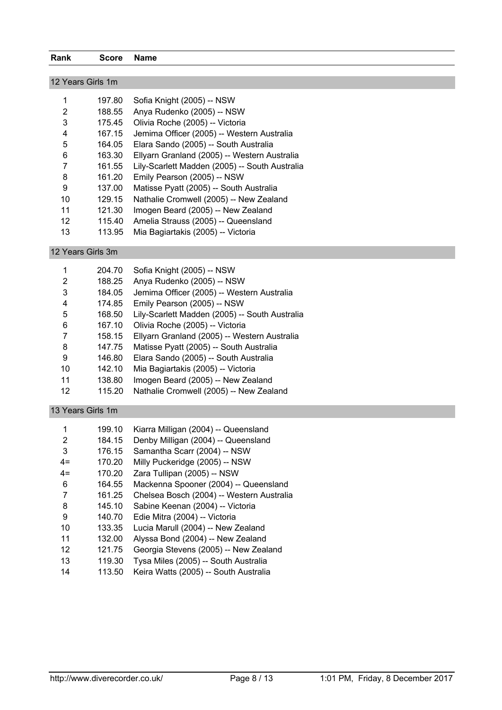|  | Rank | Score | Name |
|--|------|-------|------|
|--|------|-------|------|

| 12 Years Girls 1m |        |                                                |  |  |
|-------------------|--------|------------------------------------------------|--|--|
| 1                 | 197.80 | Sofia Knight (2005) -- NSW                     |  |  |
| 2                 | 188.55 | Anya Rudenko (2005) -- NSW                     |  |  |
| 3                 | 175.45 | Olivia Roche (2005) -- Victoria                |  |  |
| 4                 | 167.15 | Jemima Officer (2005) -- Western Australia     |  |  |
| 5                 | 164.05 | Elara Sando (2005) -- South Australia          |  |  |
| 6                 | 163.30 | Ellyarn Granland (2005) -- Western Australia   |  |  |
| 7                 | 161.55 | Lily-Scarlett Madden (2005) -- South Australia |  |  |
| 8                 | 161.20 | Emily Pearson (2005) -- NSW                    |  |  |
| 9                 | 137.00 | Matisse Pyatt (2005) -- South Australia        |  |  |
| 10                | 129.15 | Nathalie Cromwell (2005) -- New Zealand        |  |  |
| 11                | 121.30 | Imogen Beard (2005) -- New Zealand             |  |  |
| 12                | 115.40 | Amelia Strauss (2005) -- Queensland            |  |  |
| 13                | 113.95 | Mia Bagiartakis (2005) -- Victoria             |  |  |

12 Years Girls 3m

| 1  | 204.70 | Sofia Knight (2005) -- NSW                     |
|----|--------|------------------------------------------------|
| 2  | 188.25 | Anya Rudenko (2005) -- NSW                     |
| 3  | 184.05 | Jemima Officer (2005) -- Western Australia     |
| 4  | 174.85 | Emily Pearson (2005) -- NSW                    |
| 5  | 168.50 | Lily-Scarlett Madden (2005) -- South Australia |
| 6  | 167.10 | Olivia Roche (2005) -- Victoria                |
|    | 158.15 | Ellyarn Granland (2005) -- Western Australia   |
| 8  | 147.75 | Matisse Pyatt (2005) -- South Australia        |
| 9  | 146.80 | Elara Sando (2005) -- South Australia          |
| 10 | 142.10 | Mia Bagiartakis (2005) -- Victoria             |
| 11 | 138.80 | Imogen Beard (2005) -- New Zealand             |
| 12 | 115.20 | Nathalie Cromwell (2005) -- New Zealand        |

#### 13 Years Girls 1m

| 1                 | 199.10 | Kiarra Milligan (2004) -- Queensland      |
|-------------------|--------|-------------------------------------------|
| 2                 | 184.15 | Denby Milligan (2004) -- Queensland       |
| 3                 | 176.15 | Samantha Scarr (2004) -- NSW              |
| $4=$              | 170.20 | Milly Puckeridge (2005) -- NSW            |
| $4=$              | 170.20 | Zara Tullipan (2005) -- NSW               |
| 6                 | 164.55 | Mackenna Spooner (2004) -- Queensland     |
| 7                 | 161.25 | Chelsea Bosch (2004) -- Western Australia |
| 8                 | 145.10 | Sabine Keenan (2004) -- Victoria          |
| 9                 | 140.70 | Edie Mitra (2004) -- Victoria             |
| 10                | 133.35 | Lucia Marull (2004) -- New Zealand        |
| 11                | 132.00 | Alyssa Bond (2004) -- New Zealand         |
| $12 \overline{ }$ | 121.75 | Georgia Stevens (2005) -- New Zealand     |
| 13                | 119.30 | Tysa Miles (2005) -- South Australia      |
| 14                | 113.50 | Keira Watts (2005) -- South Australia     |
|                   |        |                                           |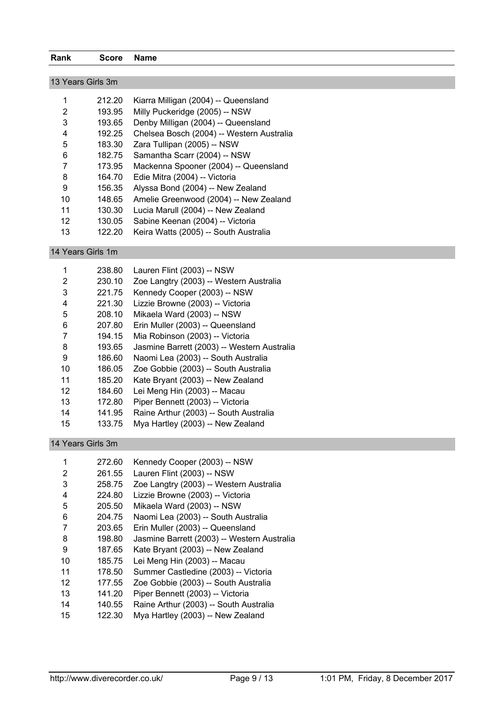| Rank              | <b>Score</b> | Name                                        |
|-------------------|--------------|---------------------------------------------|
|                   |              |                                             |
| 13 Years Girls 3m |              |                                             |
|                   |              | 212.20 Kiarra Milligan (2004) -- Queensland |
|                   |              | 193.95 Milly Puckeridge (2005) -- NSW       |
| $\sim$            |              | $\overline{a}$                              |

- 193.65 Denby Milligan (2004) -- Queensland 192.25 Chelsea Bosch (2004) -- Western Australia
- 183.30 Zara Tullipan (2005) -- NSW
- 182.75 Samantha Scarr (2004) -- NSW
- 173.95 Mackenna Spooner (2004) -- Queensland
- 164.70 Edie Mitra (2004) -- Victoria
- 156.35 Alyssa Bond (2004) -- New Zealand 148.65 Amelie Greenwood (2004) -- New Zealand
- 130.30 Lucia Marull (2004) -- New Zealand
- 130.05 Sabine Keenan (2004) -- Victoria
- 122.20 Keira Watts (2005) -- South Australia

14 Years Girls 1m

| 1  | 238.80 | Lauren Flint (2003) -- NSW                  |
|----|--------|---------------------------------------------|
|    |        |                                             |
| 2  | 230.10 | Zoe Langtry (2003) -- Western Australia     |
| 3  | 221.75 | Kennedy Cooper (2003) -- NSW                |
| 4  | 221.30 | Lizzie Browne (2003) -- Victoria            |
| 5  | 208.10 | Mikaela Ward (2003) -- NSW                  |
| 6  | 207.80 | Erin Muller (2003) -- Queensland            |
| 7  | 194.15 | Mia Robinson (2003) -- Victoria             |
| 8  | 193.65 | Jasmine Barrett (2003) -- Western Australia |
| 9  | 186.60 | Naomi Lea (2003) -- South Australia         |
| 10 | 186.05 | Zoe Gobbie (2003) -- South Australia        |
| 11 | 185.20 | Kate Bryant (2003) -- New Zealand           |
| 12 | 184.60 | Lei Meng Hin (2003) -- Macau                |
| 13 | 172.80 | Piper Bennett (2003) -- Victoria            |
| 14 | 141.95 | Raine Arthur (2003) -- South Australia      |
| 15 | 133.75 | Mya Hartley (2003) -- New Zealand           |
|    |        |                                             |

#### 14 Years Girls 3m

| 1  | 272.60 | Kennedy Cooper (2003) -- NSW                |
|----|--------|---------------------------------------------|
| 2  | 261.55 | Lauren Flint (2003) -- NSW                  |
| 3  | 258.75 | Zoe Langtry (2003) -- Western Australia     |
| 4  | 224.80 | Lizzie Browne (2003) -- Victoria            |
| 5  | 205.50 | Mikaela Ward (2003) -- NSW                  |
| 6  | 204.75 | Naomi Lea (2003) -- South Australia         |
| 7  | 203.65 | Erin Muller (2003) -- Queensland            |
| 8  | 198.80 | Jasmine Barrett (2003) -- Western Australia |
| 9  | 187.65 | Kate Bryant (2003) -- New Zealand           |
| 10 | 185.75 | Lei Meng Hin (2003) -- Macau                |
| 11 | 178.50 | Summer Castledine (2003) -- Victoria        |
| 12 | 177.55 | Zoe Gobbie (2003) -- South Australia        |
| 13 | 141.20 | Piper Bennett (2003) -- Victoria            |
| 14 | 140.55 | Raine Arthur (2003) -- South Australia      |
| 15 | 122.30 | Mya Hartley (2003) -- New Zealand           |
|    |        |                                             |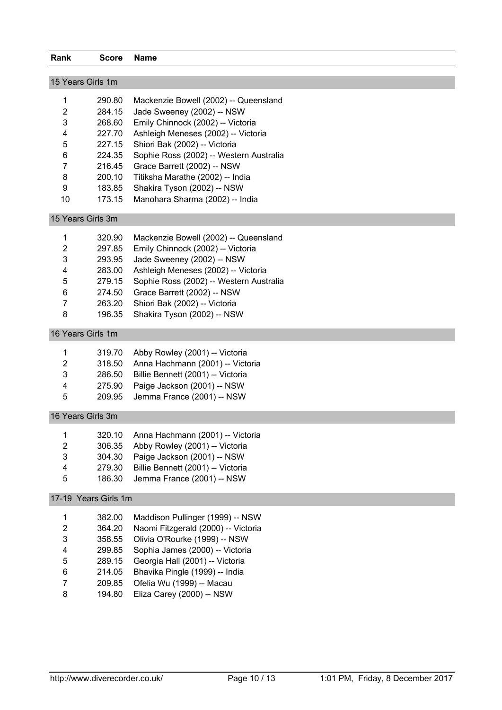| Rank           | <b>Score</b>         | <b>Name</b>                             |
|----------------|----------------------|-----------------------------------------|
|                | 15 Years Girls 1m    |                                         |
|                |                      |                                         |
| 1              | 290.80               | Mackenzie Bowell (2002) -- Queensland   |
| $\overline{2}$ | 284.15               | Jade Sweeney (2002) -- NSW              |
| 3              | 268.60               | Emily Chinnock (2002) -- Victoria       |
| 4              | 227.70               | Ashleigh Meneses (2002) -- Victoria     |
| 5              | 227.15               | Shiori Bak (2002) -- Victoria           |
| 6              | 224.35               | Sophie Ross (2002) -- Western Australia |
| 7              | 216.45               | Grace Barrett (2002) -- NSW             |
| 8              | 200.10               | Titiksha Marathe (2002) -- India        |
| 9              | 183.85               | Shakira Tyson (2002) -- NSW             |
| 10             | 173.15               | Manohara Sharma (2002) -- India         |
|                | 15 Years Girls 3m    |                                         |
| 1              | 320.90               | Mackenzie Bowell (2002) -- Queensland   |
| 2              | 297.85               | Emily Chinnock (2002) -- Victoria       |
| 3              | 293.95               | Jade Sweeney (2002) -- NSW              |
| 4              | 283.00               | Ashleigh Meneses (2002) -- Victoria     |
| 5              | 279.15               | Sophie Ross (2002) -- Western Australia |
| 6              | 274.50               | Grace Barrett (2002) -- NSW             |
| 7              | 263.20               | Shiori Bak (2002) -- Victoria           |
| 8              | 196.35               | Shakira Tyson (2002) -- NSW             |
|                | 16 Years Girls 1m    |                                         |
| 1              | 319.70               | Abby Rowley (2001) -- Victoria          |
| 2              | 318.50               | Anna Hachmann (2001) -- Victoria        |
| 3              | 286.50               | Billie Bennett (2001) -- Victoria       |
| 4              | 275.90               | Paige Jackson (2001) -- NSW             |
| 5              | 209.95               | Jemma France (2001) -- NSW              |
|                | 16 Years Girls 3m    |                                         |
| 1              | 320.10               | Anna Hachmann (2001) -- Victoria        |
| 2              | 306.35               | Abby Rowley (2001) -- Victoria          |
| 3              | 304.30               | Paige Jackson (2001) -- NSW             |
| 4              | 279.30               | Billie Bennett (2001) -- Victoria       |
| 5              | 186.30               | Jemma France (2001) -- NSW              |
|                | 17-19 Years Girls 1m |                                         |
| 1              | 382.00               | Maddison Pullinger (1999) -- NSW        |
| 2              | 364.20               | Naomi Fitzgerald (2000) -- Victoria     |
| 3              | 358.55               | Olivia O'Rourke (1999) -- NSW           |
| 4              | 299.85               | Sophia James (2000) -- Victoria         |
| 5              | 289.15               | Georgia Hall (2001) -- Victoria         |
| 6              | 214.05               | Bhavika Pingle (1999) -- India          |
| 7              | 209.85               | Ofelia Wu (1999) -- Macau               |
| 8              | 194.80               | Eliza Carey (2000) -- NSW               |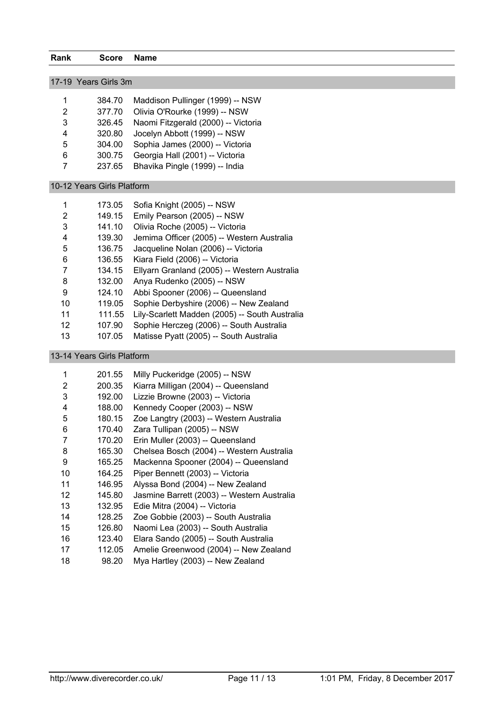|                 | 17-19 Years Girls 3m       |                                                |
|-----------------|----------------------------|------------------------------------------------|
| 1               | 384.70                     | Maddison Pullinger (1999) -- NSW               |
| $\overline{2}$  | 377.70                     | Olivia O'Rourke (1999) -- NSW                  |
| 3               | 326.45                     | Naomi Fitzgerald (2000) -- Victoria            |
| 4               | 320.80                     | Jocelyn Abbott (1999) -- NSW                   |
| 5               | 304.00                     | Sophia James (2000) -- Victoria                |
| 6               | 300.75                     | Georgia Hall (2001) -- Victoria                |
| 7               | 237.65                     | Bhavika Pingle (1999) -- India                 |
|                 | 10-12 Years Girls Platform |                                                |
| 1               | 173.05                     | Sofia Knight (2005) -- NSW                     |
| $\overline{2}$  | 149.15                     | Emily Pearson (2005) -- NSW                    |
| 3               | 141.10                     | Olivia Roche (2005) -- Victoria                |
| 4               | 139.30                     | Jemima Officer (2005) -- Western Australia     |
| 5               | 136.75                     | Jacqueline Nolan (2006) -- Victoria            |
| 6               | 136.55                     | Kiara Field (2006) -- Victoria                 |
| $\overline{7}$  | 134.15                     | Ellyarn Granland (2005) -- Western Australia   |
| 8               | 132.00                     | Anya Rudenko (2005) -- NSW                     |
| 9               | 124.10                     | Abbi Spooner (2006) -- Queensland              |
| 10              | 119.05                     | Sophie Derbyshire (2006) -- New Zealand        |
| 11              | 111.55                     | Lily-Scarlett Madden (2005) -- South Australia |
| 12 <sup>°</sup> | 107.90                     | Sophie Herczeg (2006) -- South Australia       |
| 13              | 107.05                     | Matisse Pyatt (2005) -- South Australia        |

#### 13-14 Years Girls Platform

| 1  | 201.55 | Milly Puckeridge (2005) -- NSW              |
|----|--------|---------------------------------------------|
| 2  | 200.35 | Kiarra Milligan (2004) -- Queensland        |
| 3  | 192.00 | Lizzie Browne (2003) -- Victoria            |
| 4  | 188.00 | Kennedy Cooper (2003) -- NSW                |
| 5  | 180.15 | Zoe Langtry (2003) -- Western Australia     |
| 6  | 170.40 | Zara Tullipan (2005) -- NSW                 |
| 7  | 170.20 | Erin Muller (2003) -- Queensland            |
| 8  | 165.30 | Chelsea Bosch (2004) -- Western Australia   |
| 9  | 165.25 | Mackenna Spooner (2004) -- Queensland       |
| 10 | 164.25 | Piper Bennett (2003) -- Victoria            |
| 11 | 146.95 | Alyssa Bond (2004) -- New Zealand           |
| 12 | 145.80 | Jasmine Barrett (2003) -- Western Australia |
| 13 | 132.95 | Edie Mitra (2004) -- Victoria               |
| 14 | 128.25 | Zoe Gobbie (2003) -- South Australia        |
| 15 | 126.80 | Naomi Lea (2003) -- South Australia         |
| 16 | 123.40 | Elara Sando (2005) -- South Australia       |
| 17 | 112.05 | Amelie Greenwood (2004) -- New Zealand      |
| 18 | 98.20  | Mya Hartley (2003) -- New Zealand           |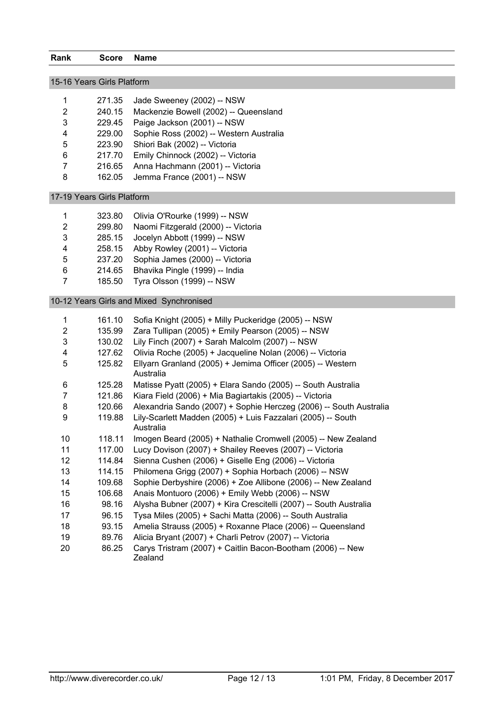| 15-16 Years Girls Platform |                            |                                                                           |  |  |
|----------------------------|----------------------------|---------------------------------------------------------------------------|--|--|
|                            |                            |                                                                           |  |  |
| $\mathbf{1}$               | 271.35                     | Jade Sweeney (2002) -- NSW                                                |  |  |
| 2                          | 240.15                     | Mackenzie Bowell (2002) -- Queensland                                     |  |  |
| 3                          | 229.45                     | Paige Jackson (2001) -- NSW                                               |  |  |
| 4                          | 229.00                     | Sophie Ross (2002) -- Western Australia                                   |  |  |
| 5                          | 223.90                     | Shiori Bak (2002) -- Victoria                                             |  |  |
| 6                          | 217.70                     | Emily Chinnock (2002) -- Victoria                                         |  |  |
| $\overline{7}$             | 216.65                     | Anna Hachmann (2001) -- Victoria                                          |  |  |
| 8                          | 162.05                     | Jemma France (2001) -- NSW                                                |  |  |
|                            | 17-19 Years Girls Platform |                                                                           |  |  |
| 1                          | 323.80                     | Olivia O'Rourke (1999) -- NSW                                             |  |  |
| $\boldsymbol{2}$           | 299.80                     | Naomi Fitzgerald (2000) -- Victoria                                       |  |  |
| 3                          | 285.15                     | Jocelyn Abbott (1999) -- NSW                                              |  |  |
| 4                          | 258.15                     | Abby Rowley (2001) -- Victoria                                            |  |  |
| 5                          | 237.20                     | Sophia James (2000) -- Victoria                                           |  |  |
| $\,6$                      | 214.65                     | Bhavika Pingle (1999) -- India                                            |  |  |
| $\overline{7}$             | 185.50                     | Tyra Olsson (1999) -- NSW                                                 |  |  |
|                            |                            | 10-12 Years Girls and Mixed Synchronised                                  |  |  |
|                            |                            |                                                                           |  |  |
| 1                          | 161.10                     | Sofia Knight (2005) + Milly Puckeridge (2005) -- NSW                      |  |  |
| $\overline{2}$             | 135.99                     | Zara Tullipan (2005) + Emily Pearson (2005) -- NSW                        |  |  |
| 3                          | 130.02                     | Lily Finch (2007) + Sarah Malcolm (2007) -- NSW                           |  |  |
| 4                          | 127.62                     | Olivia Roche (2005) + Jacqueline Nolan (2006) -- Victoria                 |  |  |
| 5                          | 125.82                     | Ellyarn Granland (2005) + Jemima Officer (2005) -- Western<br>Australia   |  |  |
| 6                          | 125.28                     | Matisse Pyatt (2005) + Elara Sando (2005) -- South Australia              |  |  |
| $\overline{7}$             | 121.86                     | Kiara Field (2006) + Mia Bagiartakis (2005) -- Victoria                   |  |  |
| 8                          | 120.66                     | Alexandria Sando (2007) + Sophie Herczeg (2006) -- South Australia        |  |  |
| 9                          | 119.88                     | Lily-Scarlett Madden (2005) + Luis Fazzalari (2005) -- South<br>Australia |  |  |
| 10                         | 118.11                     | Imogen Beard (2005) + Nathalie Cromwell (2005) -- New Zealand             |  |  |
| 11                         | 117.00                     | Lucy Dovison (2007) + Shailey Reeves (2007) -- Victoria                   |  |  |
| 12                         | 114.84                     | Sienna Cushen (2006) + Giselle Eng (2006) -- Victoria                     |  |  |
| 13                         | 114.15                     | Philomena Grigg (2007) + Sophia Horbach (2006) -- NSW                     |  |  |
| 14                         | 109.68                     | Sophie Derbyshire (2006) + Zoe Allibone (2006) -- New Zealand             |  |  |
| 15                         | 106.68                     | Anais Montuoro (2006) + Emily Webb (2006) -- NSW                          |  |  |
| 16                         | 98.16                      | Alysha Bubner (2007) + Kira Crescitelli (2007) -- South Australia         |  |  |
| 17                         | 96.15                      | Tysa Miles (2005) + Sachi Matta (2006) -- South Australia                 |  |  |
| 18                         | 93.15                      | Amelia Strauss (2005) + Roxanne Place (2006) -- Queensland                |  |  |
| 19                         | 89.76                      | Alicia Bryant (2007) + Charli Petrov (2007) -- Victoria                   |  |  |
| 20                         | 86.25                      | Carys Tristram (2007) + Caitlin Bacon-Bootham (2006) -- New<br>Zealand    |  |  |